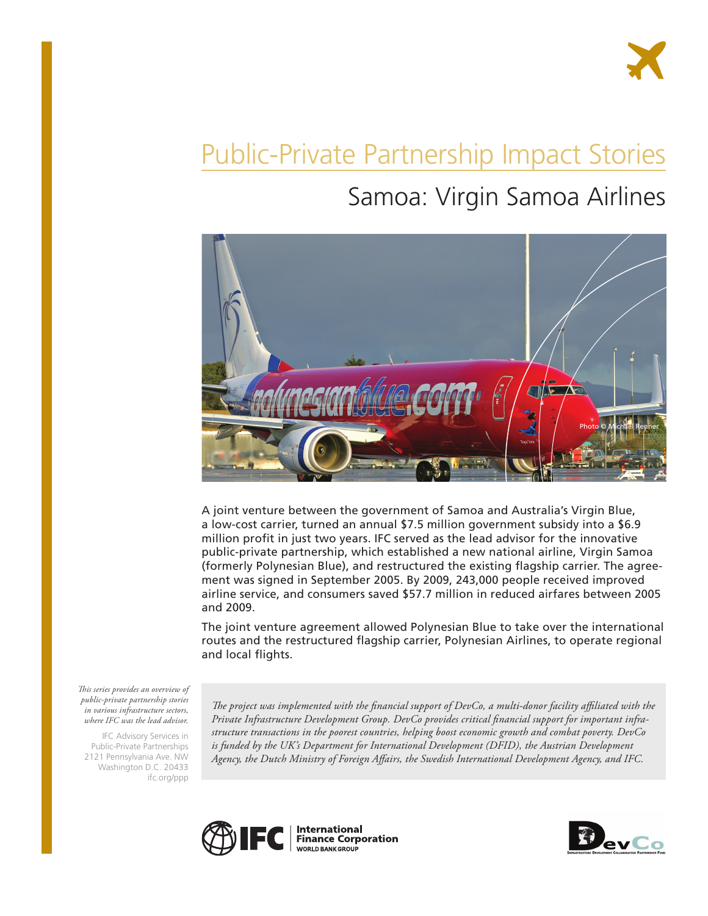# Public-Private Partnership Impact Stories

# Samoa: Virgin Samoa Airlines



A joint venture between the government of Samoa and Australia's Virgin Blue, a low-cost carrier, turned an annual \$7.5 million government subsidy into a \$6.9 million profit in just two years. IFC served as the lead advisor for the innovative public-private partnership, which established a new national airline, Virgin Samoa (formerly Polynesian Blue), and restructured the existing flagship carrier. The agreement was signed in September 2005. By 2009, 243,000 people received improved airline service, and consumers saved \$57.7 million in reduced airfares between 2005 and 2009.

The joint venture agreement allowed Polynesian Blue to take over the international routes and the restructured flagship carrier, Polynesian Airlines, to operate regional and local flights.

*This series provides an overview of public-private partnership stories in various infrastructure sectors, where IFC was the lead advisor.* 

IFC Advisory Services in Public-Private Partnerships 2121 Pennsylvania Ave. NW Washington D.C. 20433 ifc.org/ppp

*The project was implemented with the financial support of DevCo, a multi-donor facility affiliated with the Private Infrastructure Development Group. DevCo provides critical financial support for important infrastructure transactions in the poorest countries, helping boost economic growth and combat poverty. DevCo*  is funded by the UK's Department for International Development (DFID), the Austrian Development *Agency, the Dutch Ministry of Foreign Affairs, the Swedish International Development Agency, and IFC.*